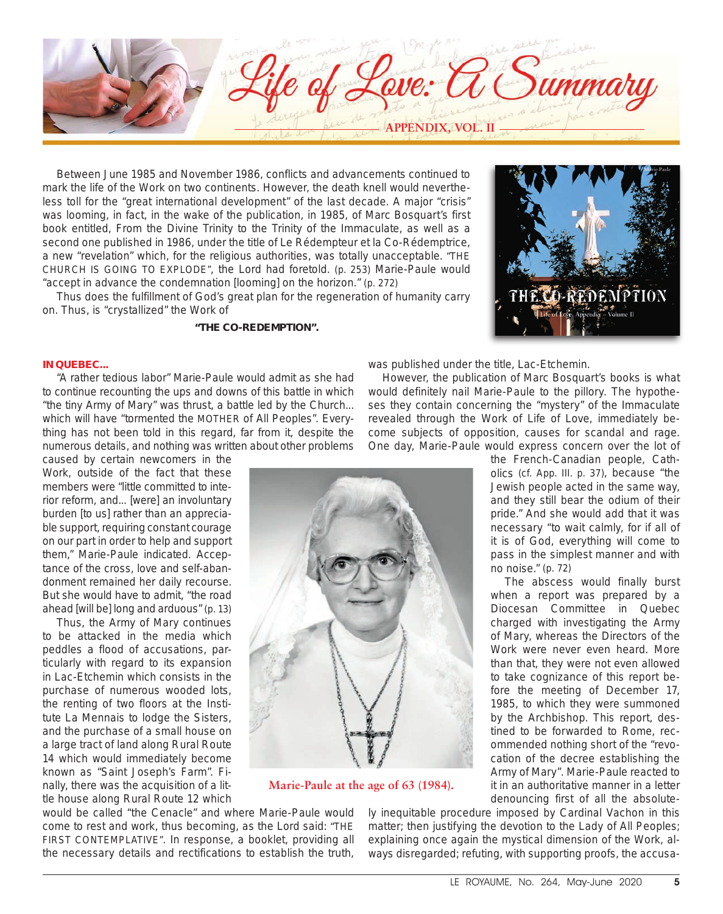

Between June 1985 and November 1986, conflicts and advancements continued to mark the life of the Work on two continents. However, the death knell would nevertheless toll for the *"great international development"* of the last decade. A major "crisis" was looming, in fact, in the wake of the publication, in 1985, of Marc Bosquart's first book entitled, *From the Divine Trinity to the Trinity of the Immaculate*, as well as a second one published in 1986, under the title of *Le Rédempteur et la Co-Rédemptrice*, a new *"revelation"* which, for the religious authorities, was totally unacceptable. *"THE CHURCH IS GOING TO EXPLODE"*, the Lord had foretold. (p. 253) Marie-Paule would *"accept in advance the condemnation [looming] on the horizon.*" (p. 272)

Thus does the fulfillment of God's great plan for the regeneration of humanity carry on. Thus, is *"crystallized"* the Work of

## *"THE CO-REDEMPTION".*

# **IN QUEBEC...**

*"A rather tedious labor"* Marie-Paule would admit as she had to continue recounting the ups and downs of this battle in which *"the tiny Army of Mary"* was thrust, a battle led by the Church... which will have *"tormented the MOTHER of All Peoples".* Everything has not been told in this regard, far from it, despite the numerous details, and nothing was written about other problems

caused by certain newcomers in the Work, outside of the fact that these members were *"little committed to interior reform, and... [were] an involuntary burden [to us] rather than an appreciable support, requiring constant courage on our part in order to help and support them,"* Marie-Paule indicated. Acceptance of the cross, love and self-abandonment remained her daily recourse. But she would have to admit, *"the road ahead [will be] long and arduous"* (p. 13)

Thus, the Army of Mary continues to be attacked in the media which peddles a flood of accusations, particularly with regard to its expansion in Lac-Etchemin which consists in the purchase of numerous wooded lots, the renting of two floors at the Institute La Mennais to lodge the Sisters, and the purchase of a small house on a large tract of land along Rural Route 14 which would immediately become known as "Saint Joseph's Farm". Finally, there was the acquisition of a little house along Rural Route 12 which

was published under the title, *Lac-Etchemin*.

However, the publication of Marc Bosquart's books is what would definitely nail Marie-Paule to the pillory. The hypotheses they contain concerning the *"mystery"* of the Immaculate revealed through the Work of *Life of Love*, immediately become subjects of opposition, causes for scandal and rage. One day, Marie-Paule would express concern over the lot of



**Marie-Paule at the age of 63 (1984).**

would be called "the Cenacle" and where Marie-Paule would come to rest and work, thus becoming, as the Lord said: *"THE FIRST CONTEMPLATIVE"*. In response, a booklet, providing all the necessary details and rectifications to establish the truth,

the French-Canadian people, Catholics (cf. *App*. III. p. 37), because *"the Jewish people acted in the same way, and they still bear the odium of their pride."* And she would add that it was necessary *"to wait calmly, for if all of it is of God, everything will come to pass in the simplest manner and with no noise."* (p. 72)

ECO-REDEMPTION

The abscess would finally burst when a report was prepared by a Diocesan Committee in Quebec charged with investigating the Army of Mary, whereas the Directors of the Work were never even heard. More than that, they were not even allowed to take cognizance of this report before the meeting of December 17, 1985, to which they were summoned by the Archbishop. This report, destined to be forwarded to Rome, recommended nothing short of the *"revocation of the decree establishing the Army of Mary"*. Marie-Paule reacted to it in an authoritative manner in a letter denouncing first of all the absolute-

ly inequitable procedure imposed by Cardinal Vachon in this matter; then justifying the devotion to the Lady of All Peoples; explaining once again the mystical dimension of the Work, always disregarded; refuting, with supporting proofs, the accusa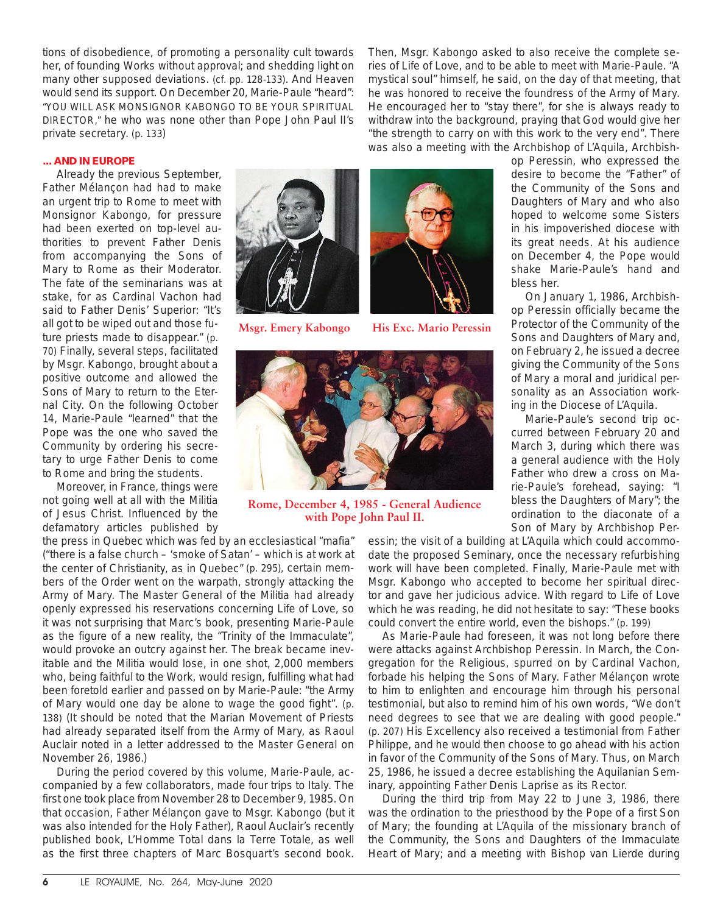tions of disobedience, of promoting a personality cult towards her, of founding Works without approval; and shedding light on many other supposed deviations. (cf. pp. 128-133). And Heaven would send its support. On December 20, Marie-Paule "heard": *"YOU WILL ASK MONSIGNOR KABONGO TO BE YOUR SPIRITUAL DIRECTOR,"* he who was none other than Pope John Paul II's private secretary. (p. 133)

Then, Msgr. Kabongo asked to also receive the complete series of *Life of Love*, and to be able to meet with Marie-Paule. *"A mystical soul"* himself, he said, on the day of that meeting, that he was honored to receive the foundress of the Army of Mary. He encouraged her to *"stay there",* for she is always ready to withdraw into the background, praying that God would give her *"the strength to carry on with this work to the very end"*. There was also a meeting with the Archbishop of L'Aquila, Archbish-

# **... AND IN EUROPE**

Already the previous September, Father Mélançon had had to make an urgent trip to Rome to meet with Monsignor Kabongo, for pressure had been exerted on top-level authorities to prevent Father Denis from accompanying the Sons of Mary to Rome as their Moderator. The fate of the seminarians was at stake, for as Cardinal Vachon had said to Father Denis' Superior: *"It's all got to be wiped out and those future priests made to disappear."* (p. 70) Finally, several steps, facilitated by Msgr. Kabongo, brought about a positive outcome and allowed the Sons of Mary to return to the Eternal City. On the following October 14, Marie-Paule "learned" that the Pope was the one who saved the Community by ordering his secretary to urge Father Denis to come to Rome and bring the students.

Moreover, in France, things were not going well at all with the Militia of Jesus Christ. Influenced by the defamatory articles published by



**Msgr. Emery Kabongo His Exc. Mario Peressin**





**Rome, December 4, 1985 - General Audience with Pope John Paul II.**

the press in Quebec which was fed by an ecclesiastical *"mafia"* (*"there is a false church – 'smoke of Satan' – which is at work at the center of Christianity, as in Quebec"* (p. 295), certain members of the Order went on the warpath, strongly attacking the Army of Mary. The Master General of the Militia had already openly expressed his reservations concerning *Life of Love,* so it was not surprising that Marc's book, presenting Marie-Paule as the figure of a new reality, the "Trinity of the Immaculate", would provoke an outcry against her. The break became inevitable and the Militia would lose, in one shot, 2,000 members who, being faithful to the Work, would resign, fulfilling what had been foretold earlier and passed on by Marie-Paule: *"the Army of Mary would one day be alone to wage the good fight"*. (p. 138) (It should be noted that the Marian Movement of Priests had already separated itself from the Army of Mary, as Raoul Auclair noted in a letter addressed to the Master General on November 26, 1986.)

During the period covered by this volume, Marie-Paule, accompanied by a few collaborators, made four trips to Italy. The first one took place from November 28 to December 9, 1985. On that occasion, Father Mélançon gave to Msgr. Kabongo (but it was also intended for the Holy Father), Raoul Auclair's recently published book, *L'Homme Total dans la Terre Totale,* as well as the first three chapters of Marc Bosquart's second book.

essin; the visit of a building at L'Aquila which could accommodate the proposed Seminary, once the necessary refurbishing work will have been completed. Finally, Marie-Paule met with Msgr. Kabongo who accepted to become her spiritual director and gave her judicious advice. With regard to *Life of Love*  which he was reading, he did not hesitate to say: *"These books could convert the entire world, even the bishops."* (p. 199)

As Marie-Paule had foreseen, it was not long before there were attacks against Archbishop Peressin. In March, the Congregation for the Religious, spurred on by Cardinal Vachon, forbade his helping the Sons of Mary. Father Mélançon wrote to him to enlighten and encourage him through his personal testimonial, but also to remind him of his own words, *"We don't need degrees to see that we are dealing with good people."* (p. 207) His Excellency also received a testimonial from Father Philippe, and he would then choose to go ahead with his action in favor of the Community of the Sons of Mary. Thus, on March 25, 1986, he issued a decree establishing the Aquilanian Seminary, appointing Father Denis Laprise as its Rector.

During the third trip from May 22 to June 3, 1986, there was the ordination to the priesthood by the Pope of a first Son of Mary; the founding at L'Aquila of the missionary branch of the Community, the Sons and Daughters of the Immaculate Heart of Mary; and a meeting with Bishop van Lierde during

op Peressin, who expressed the desire to become the *"Father"* of the Community of the Sons and Daughters of Mary and who also hoped to welcome some Sisters in his impoverished diocese with its great needs. At his audience on December 4, the Pope would shake Marie-Paule's hand and bless her.

On January 1, 1986, Archbishop Peressin officially became the Protector of the Community of the Sons and Daughters of Mary and, on February 2, he issued a decree giving the Community of the Sons of Mary a moral and juridical personality as an Association working in the Diocese of L'Aquila.

Marie-Paule's second trip occurred between February 20 and March 3, during which there was a general audience with the Holy Father who drew a cross on Marie-Paule's forehead, saying: *"I bless the Daughters of Mary";* the ordination to the diaconate of a Son of Mary by Archbishop Per